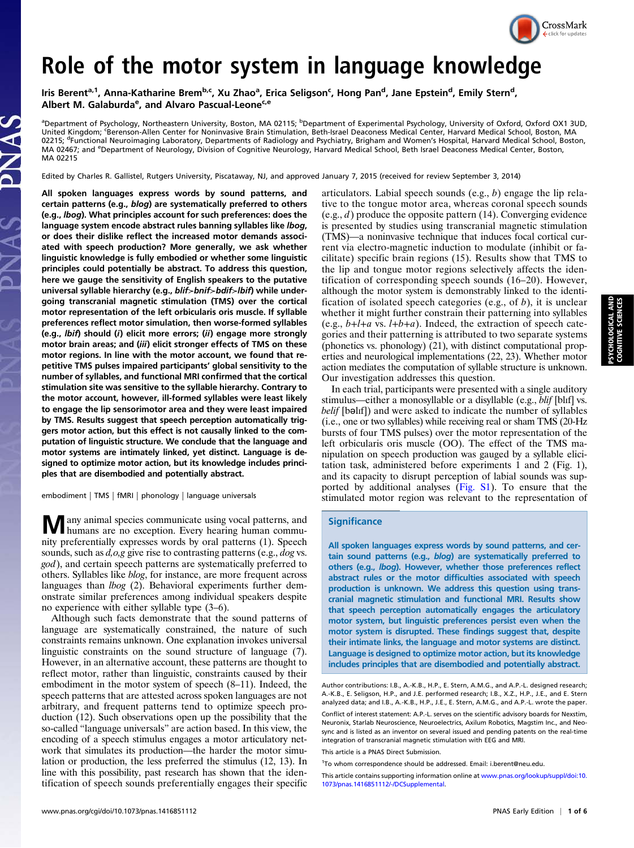

# Role of the motor system in language knowledge

Iris Berent<sup>a, 1</sup>, Anna-Katharine Brem<sup>b,c</sup>, Xu Zhao<sup>a</sup>, Erica Seligson<sup>c</sup>, Hong Pan<sup>d</sup>, Jane Epstein<sup>d</sup>, Emily Stern<sup>d</sup>, Albert M. Galaburda<sup>e</sup>, and Alvaro Pascual-Leone<sup>c,e</sup>

<sup>a</sup>Department of Psychology, Northeastern University, Boston, MA 02115; <sup>b</sup>Department of Experimental Psychology, University of Oxford, Oxford OX1 3UD, United Kingdom; <sup>c</sup>Berenson-Allen Center for Noninvasive Brain Stimulation, Beth-Israel Deaconess Medical Center, Harvard Medical School, Boston, MA 02215; <sup>d</sup>Functional Neuroimaging Laboratory, Departments of Radiology and Psychiatry, Brigham and Women's Hospital, Harvard Medical School, Boston, MA 02467; and <sup>e</sup>Department of Neurology, Division of Cognitive Neurology, Harvard Medical School, Beth Israel Deaconess Medical Center, Boston, MA 02215

Edited by Charles R. Gallistel, Rutgers University, Piscataway, NJ, and approved January 7, 2015 (received for review September 3, 2014)

All spoken languages express words by sound patterns, and certain patterns (e.g., blog) are systematically preferred to others (e.g., lbog). What principles account for such preferences: does the language system encode abstract rules banning syllables like lbog, or does their dislike reflect the increased motor demands associated with speech production? More generally, we ask whether linguistic knowledge is fully embodied or whether some linguistic principles could potentially be abstract. To address this question, here we gauge the sensitivity of English speakers to the putative universal syllable hierarchy (e.g., blif≻bnif≻bdif≻lbif) while undergoing transcranial magnetic stimulation (TMS) over the cortical motor representation of the left orbicularis oris muscle. If syllable preferences reflect motor simulation, then worse-formed syllables (e.g., lbif) should (i) elicit more errors; (ii) engage more strongly motor brain areas; and (iii) elicit stronger effects of TMS on these motor regions. In line with the motor account, we found that repetitive TMS pulses impaired participants' global sensitivity to the number of syllables, and functional MRI confirmed that the cortical stimulation site was sensitive to the syllable hierarchy. Contrary to the motor account, however, ill-formed syllables were least likely to engage the lip sensorimotor area and they were least impaired by TMS. Results suggest that speech perception automatically triggers motor action, but this effect is not causally linked to the computation of linguistic structure. We conclude that the language and motor systems are intimately linked, yet distinct. Language is designed to optimize motor action, but its knowledge includes principles that are disembodied and potentially abstract.

embodiment | TMS | fMRI | phonology | language universals

Many animal species communicate using vocal patterns, and humans are no exception. Every hearing human community preferentially expresses words by oral patterns (1). Speech sounds, such as  $d, o, g$  give rise to contrasting patterns (e.g.,  $dog$  vs. god), and certain speech patterns are systematically preferred to others. Syllables like blog, for instance, are more frequent across languages than lbog (2). Behavioral experiments further demonstrate similar preferences among individual speakers despite no experience with either syllable type (3–6).

Although such facts demonstrate that the sound patterns of language are systematically constrained, the nature of such constraints remains unknown. One explanation invokes universal linguistic constraints on the sound structure of language (7). However, in an alternative account, these patterns are thought to reflect motor, rather than linguistic, constraints caused by their embodiment in the motor system of speech (8–11). Indeed, the speech patterns that are attested across spoken languages are not arbitrary, and frequent patterns tend to optimize speech production (12). Such observations open up the possibility that the so-called "language universals" are action based. In this view, the encoding of a speech stimulus engages a motor articulatory network that simulates its production—the harder the motor simulation or production, the less preferred the stimulus (12, 13). In line with this possibility, past research has shown that the identification of speech sounds preferentially engages their specific articulators. Labial speech sounds  $(e.g., b)$  engage the lip relative to the tongue motor area, whereas coronal speech sounds  $(e.g., d)$  produce the opposite pattern (14). Converging evidence is presented by studies using transcranial magnetic stimulation (TMS)—a noninvasive technique that induces focal cortical current via electro-magnetic induction to modulate (inhibit or facilitate) specific brain regions (15). Results show that TMS to the lip and tongue motor regions selectively affects the identification of corresponding speech sounds (16–20). However, although the motor system is demonstrably linked to the identification of isolated speech categories (e.g., of  $b$ ), it is unclear whether it might further constrain their patterning into syllables (e.g.,  $b+l+a$  vs.  $l+b+a$ ). Indeed, the extraction of speech categories and their patterning is attributed to two separate systems (phonetics vs. phonology) (21), with distinct computational properties and neurological implementations (22, 23). Whether motor action mediates the computation of syllable structure is unknown. Our investigation addresses this question.

In each trial, participants were presented with a single auditory stimulus—either a monosyllable or a disyllable (e.g., *blif* [blif] vs. belif [bəlɪf]) and were asked to indicate the number of syllables (i.e., one or two syllables) while receiving real or sham TMS (20-Hz bursts of four TMS pulses) over the motor representation of the left orbicularis oris muscle (OO). The effect of the TMS manipulation on speech production was gauged by a syllable elicitation task, administered before experiments 1 and 2 (Fig. 1), and its capacity to disrupt perception of labial sounds was supported by additional analyses ([Fig. S1\)](http://www.pnas.org/lookup/suppl/doi:10.1073/pnas.1416851112/-/DCSupplemental/pnas.201416851SI.pdf?targetid=nameddest=SF1). To ensure that the stimulated motor region was relevant to the representation of

#### **Significance**

All spoken languages express words by sound patterns, and certain sound patterns (e.g., blog) are systematically preferred to others (e.g., lbog). However, whether those preferences reflect abstract rules or the motor difficulties associated with speech production is unknown. We address this question using transcranial magnetic stimulation and functional MRI. Results show that speech perception automatically engages the articulatory motor system, but linguistic preferences persist even when the motor system is disrupted. These findings suggest that, despite their intimate links, the language and motor systems are distinct. Language is designed to optimize motor action, but its knowledge includes principles that are disembodied and potentially abstract.

This article is a PNAS Direct Submission.

Author contributions: I.B., A.-K.B., H.P., E. Stern, A.M.G., and A.P.-L. designed research; A.-K.B., E. Seligson, H.P., and J.E. performed research; I.B., X.Z., H.P., J.E., and E. Stern analyzed data; and I.B., A.-K.B., H.P., J.E., E. Stern, A.M.G., and A.P.-L. wrote the paper. Conflict of interest statement: A.P.-L. serves on the scientific advisory boards for Nexstim, Neuronix, Starlab Neuroscience, Neuroelectrics, Axilum Robotics, Magstim Inc., and Neosync and is listed as an inventor on several issued and pending patents on the real-time integration of transcranial magnetic stimulation with EEG and MRI.

<sup>&</sup>lt;sup>1</sup>To whom correspondence should be addressed. Email: [i.berent@neu.edu](mailto:i.berent@neu.edu).

This article contains supporting information online at [www.pnas.org/lookup/suppl/doi:10.](http://www.pnas.org/lookup/suppl/doi:10.1073/pnas.1416851112/-/DCSupplemental) [1073/pnas.1416851112/-/DCSupplemental](http://www.pnas.org/lookup/suppl/doi:10.1073/pnas.1416851112/-/DCSupplemental).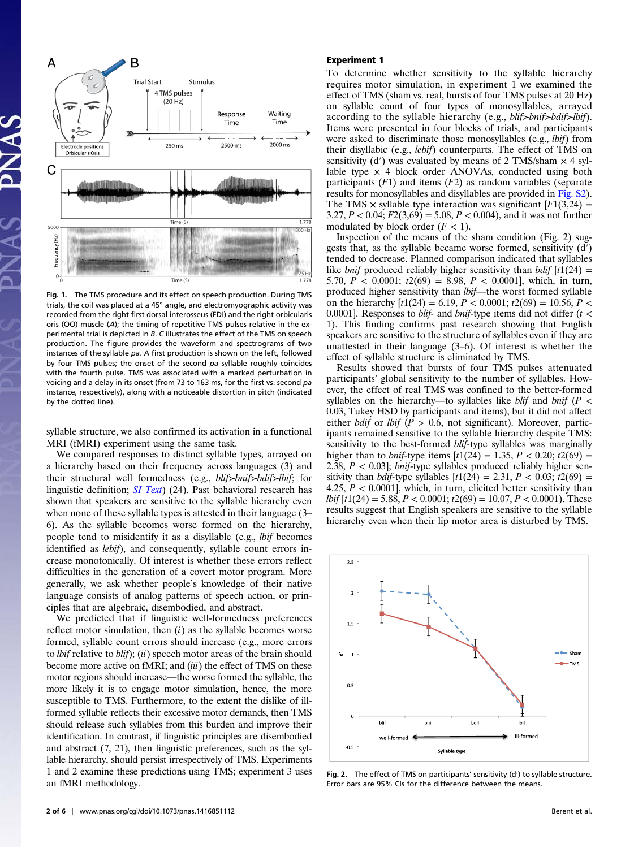

Fig. 1. The TMS procedure and its effect on speech production. During TMS trials, the coil was placed at a 45° angle, and electromyographic activity was recorded from the right first dorsal interosseus (FDI) and the right orbicularis oris (OO) muscle (A); the timing of repetitive TMS pulses relative in the experimental trial is depicted in B. C illustrates the effect of the TMS on speech production. The figure provides the waveform and spectrograms of two instances of the syllable pa. A first production is shown on the left, followed by four TMS pulses; the onset of the second pa syllable roughly coincides with the fourth pulse. TMS was associated with a marked perturbation in voicing and a delay in its onset (from 73 to 163 ms, for the first vs. second pa instance, respectively), along with a noticeable distortion in pitch (indicated by the dotted line).

syllable structure, we also confirmed its activation in a functional MRI (fMRI) experiment using the same task.

We compared responses to distinct syllable types, arrayed on a hierarchy based on their frequency across languages (3) and their structural well formedness (e.g., blif≻bnif≻bdif≻lbif; for linguistic definition;  $SI$  Text) (24). Past behavioral research has shown that speakers are sensitive to the syllable hierarchy even when none of these syllable types is attested in their language (3– 6). As the syllable becomes worse formed on the hierarchy, people tend to misidentify it as a disyllable (e.g., lbif becomes identified as *lebif*), and consequently, syllable count errors increase monotonically. Of interest is whether these errors reflect difficulties in the generation of a covert motor program. More generally, we ask whether people's knowledge of their native language consists of analog patterns of speech action, or principles that are algebraic, disembodied, and abstract.

We predicted that if linguistic well-formedness preferences reflect motor simulation, then  $(i)$  as the syllable becomes worse formed, syllable count errors should increase (e.g., more errors to *lbif* relative to  $blif$ ); (ii) speech motor areas of the brain should become more active on fMRI; and (iii) the effect of TMS on these motor regions should increase—the worse formed the syllable, the more likely it is to engage motor simulation, hence, the more susceptible to TMS. Furthermore, to the extent the dislike of illformed syllable reflects their excessive motor demands, then TMS should release such syllables from this burden and improve their identification. In contrast, if linguistic principles are disembodied and abstract (7, 21), then linguistic preferences, such as the syllable hierarchy, should persist irrespectively of TMS. Experiments 1 and 2 examine these predictions using TMS; experiment 3 uses an fMRI methodology.

## Experiment 1

To determine whether sensitivity to the syllable hierarchy requires motor simulation, in experiment 1 we examined the effect of TMS (sham vs. real, bursts of four TMS pulses at 20 Hz) on syllable count of four types of monosyllables, arrayed according to the syllable hierarchy (e.g., blif≻bnif≻bdif≻lbif). Items were presented in four blocks of trials, and participants were asked to discriminate those monosyllables (e.g., *lbif*) from their disyllabic (e.g., lebif) counterparts. The effect of TMS on sensitivity (d') was evaluated by means of 2 TMS/sham  $\times$  4 syllable type  $\times$  4 block order ANOVAs, conducted using both participants  $(F1)$  and items  $(F2)$  as random variables (separate results for monosyllables and disyllables are provided in [Fig. S2\)](http://www.pnas.org/lookup/suppl/doi:10.1073/pnas.1416851112/-/DCSupplemental/pnas.201416851SI.pdf?targetid=nameddest=SF2). The TMS  $\times$  syllable type interaction was significant [F1(3,24) = 3.27,  $P < 0.04$ ;  $F2(3,69) = 5.08$ ,  $P < 0.004$ ), and it was not further modulated by block order  $(F < 1)$ .

Inspection of the means of the sham condition (Fig. 2) suggests that, as the syllable became worse formed, sensitivity (d′) tended to decrease. Planned comparison indicated that syllables like *bnif* produced reliably higher sensitivity than *bdif*  $[t1(24) =$ 5.70,  $P < 0.0001$ ;  $t2(69) = 8.98$ ,  $P < 0.0001$ ], which, in turn, produced higher sensitivity than lbif—the worst formed syllable on the hierarchy  $[t1(24) = 6.19, P < 0.0001; t2(69) = 10.56, P <$ 0.0001]. Responses to *blif-* and *bnif-type* items did not differ  $(t <$ 1). This finding confirms past research showing that English speakers are sensitive to the structure of syllables even if they are unattested in their language (3–6). Of interest is whether the effect of syllable structure is eliminated by TMS.

Results showed that bursts of four TMS pulses attenuated participants' global sensitivity to the number of syllables. However, the effect of real TMS was confined to the better-formed syllables on the hierarchy—to syllables like *blif* and *bnif* ( $P$  < 0.03, Tukey HSD by participants and items), but it did not affect either *bdif* or *lbif* ( $P > 0.6$ , not significant). Moreover, participants remained sensitive to the syllable hierarchy despite TMS: sensitivity to the best-formed blif-type syllables was marginally higher than to *bnif-type* items  $[t1(24) = 1.35, P < 0.20; t2(69) =$ 2.38,  $P < 0.03$ ]; bnif-type syllables produced reliably higher sensitivity than *bdif*-type syllables  $[t1(24) = 2.31, P < 0.03; t2(69) =$ 4.25,  $P < 0.0001$ , which, in turn, elicited better sensitivity than lbif  $[t1(24) = 5.88, P < 0.0001; t2(69) = 10.07, P < 0.0001$ . These results suggest that English speakers are sensitive to the syllable hierarchy even when their lip motor area is disturbed by TMS.



Fig. 2. The effect of TMS on participants' sensitivity (d′) to syllable structure. Error bars are 95% CIs for the difference between the means.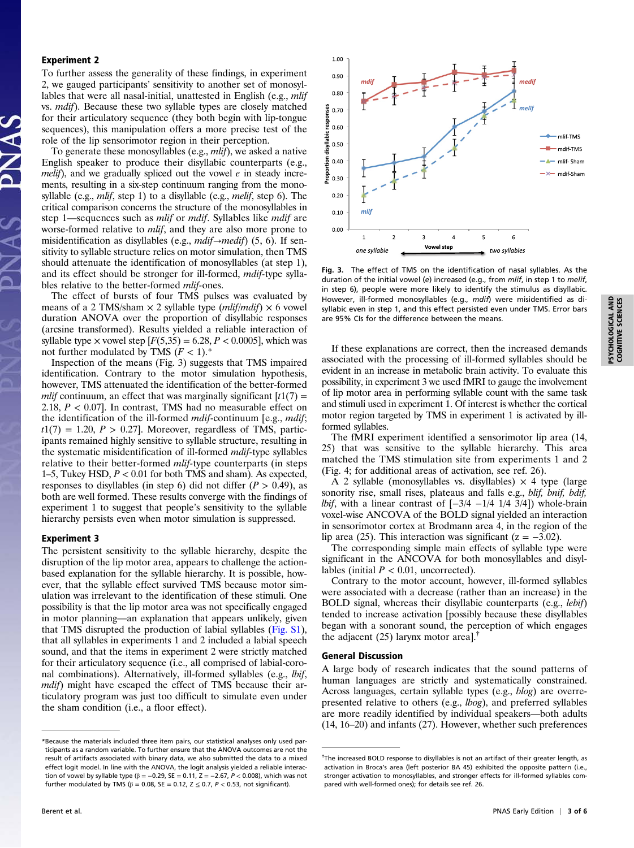## Experiment 2

To further assess the generality of these findings, in experiment 2, we gauged participants' sensitivity to another set of monosyllables that were all nasal-initial, unattested in English (e.g., *mlif*) vs. mdif). Because these two syllable types are closely matched for their articulatory sequence (they both begin with lip-tongue sequences), this manipulation offers a more precise test of the role of the lip sensorimotor region in their perception.

To generate these monosyllables (e.g., *mlif*), we asked a native English speaker to produce their disyllabic counterparts (e.g., melif), and we gradually spliced out the vowel  $e$  in steady increments, resulting in a six-step continuum ranging from the monosyllable (e.g., *mlif*, step 1) to a disyllable (e.g., *melif*, step 6). The critical comparison concerns the structure of the monosyllables in step 1—sequences such as *mlif* or *mdif*. Syllables like *mdif* are worse-formed relative to *mlif*, and they are also more prone to misidentification as disyllables (e.g., *mdif→medif*) (5, 6). If sensitivity to syllable structure relies on motor simulation, then TMS should attenuate the identification of monosyllables (at step 1), and its effect should be stronger for ill-formed, mdif-type syllables relative to the better-formed *mlif-ones*.

The effect of bursts of four TMS pulses was evaluated by means of a 2 TMS/sham  $\times$  2 syllable type (*mlif/mdif*)  $\times$  6 vowel duration ANOVA over the proportion of disyllabic responses (arcsine transformed). Results yielded a reliable interaction of syllable type  $\times$  vowel step  $[F(5,35) = 6.28, P < 0.0005]$ , which was not further modulated by TMS  $(F < 1)$ .\*

Inspection of the means (Fig. 3) suggests that TMS impaired identification. Contrary to the motor simulation hypothesis, however, TMS attenuated the identification of the better-formed *mlif* continuum, an effect that was marginally significant  $[t1(7) =$ 2.18,  $P < 0.07$ ]. In contrast, TMS had no measurable effect on the identification of the ill-formed *mdif*-continuum [e.g., *mdif*;  $t1(7) = 1.20, P > 0.27$ . Moreover, regardless of TMS, participants remained highly sensitive to syllable structure, resulting in the systematic misidentification of ill-formed mdif-type syllables relative to their better-formed *mlif-type* counterparts (in steps 1–5, Tukey HSD,  $P < 0.01$  for both TMS and sham). As expected, responses to disyllables (in step 6) did not differ ( $P > 0.49$ ), as both are well formed. These results converge with the findings of experiment 1 to suggest that people's sensitivity to the syllable hierarchy persists even when motor simulation is suppressed.

#### Experiment 3

The persistent sensitivity to the syllable hierarchy, despite the disruption of the lip motor area, appears to challenge the actionbased explanation for the syllable hierarchy. It is possible, however, that the syllable effect survived TMS because motor simulation was irrelevant to the identification of these stimuli. One possibility is that the lip motor area was not specifically engaged in motor planning—an explanation that appears unlikely, given that TMS disrupted the production of labial syllables ([Fig. S1\)](http://www.pnas.org/lookup/suppl/doi:10.1073/pnas.1416851112/-/DCSupplemental/pnas.201416851SI.pdf?targetid=nameddest=SF1), that all syllables in experiments 1 and 2 included a labial speech sound, and that the items in experiment 2 were strictly matched for their articulatory sequence (i.e., all comprised of labial-coronal combinations). Alternatively, ill-formed syllables (e.g., lbif, mdif) might have escaped the effect of TMS because their articulatory program was just too difficult to simulate even under the sham condition (i.e., a floor effect).



Fig. 3. The effect of TMS on the identification of nasal syllables. As the duration of the initial vowel (e) increased (e.g., from mlif, in step 1 to melif, in step 6), people were more likely to identify the stimulus as disyllabic. However, ill-formed monosyllables (e.g., mdif) were misidentified as disyllabic even in step 1, and this effect persisted even under TMS. Error bars are 95% CIs for the difference between the means.

If these explanations are correct, then the increased demands associated with the processing of ill-formed syllables should be evident in an increase in metabolic brain activity. To evaluate this possibility, in experiment 3 we used fMRI to gauge the involvement of lip motor area in performing syllable count with the same task and stimuli used in experiment 1. Of interest is whether the cortical motor region targeted by TMS in experiment 1 is activated by illformed syllables.

The fMRI experiment identified a sensorimotor lip area (14, 25) that was sensitive to the syllable hierarchy. This area matched the TMS stimulation site from experiments 1 and 2 (Fig. 4; for additional areas of activation, see ref. 26).

A 2 syllable (monosyllables vs. disyllables)  $\times$  4 type (large sonority rise, small rises, plateaus and falls e.g., blif, bnif, bdif, *lbif*, with a linear contrast of  $[-3/4 -1/4 1/4 3/4]$  whole-brain voxel-wise ANCOVA of the BOLD signal yielded an interaction in sensorimotor cortex at Brodmann area 4, in the region of the lip area (25). This interaction was significant ( $z = -3.02$ ).

The corresponding simple main effects of syllable type were significant in the ANCOVA for both monosyllables and disyllables (initial  $P < 0.01$ , uncorrected).

Contrary to the motor account, however, ill-formed syllables were associated with a decrease (rather than an increase) in the BOLD signal, whereas their disyllabic counterparts (e.g., lebif) tended to increase activation [possibly because these disyllables began with a sonorant sound, the perception of which engages the adjacent (25) larynx motor area].<sup>†</sup>

#### General Discussion

A large body of research indicates that the sound patterns of human languages are strictly and systematically constrained. Across languages, certain syllable types (e.g., blog) are overrepresented relative to others (e.g., lbog), and preferred syllables are more readily identified by individual speakers—both adults (14, 16–20) and infants (27). However, whether such preferences

<sup>\*</sup>Because the materials included three item pairs, our statistical analyses only used participants as a random variable. To further ensure that the ANOVA outcomes are not the result of artifacts associated with binary data, we also submitted the data to a mixed effect logit model. In line with the ANOVA, the logit analysis yielded a reliable interaction of vowel by syllable type ( $\beta = -0.29$ , SE = 0.11, Z = -2.67, P < 0.008), which was not further modulated by TMS ( $β = 0.08$ , SE = 0.12, Z  $≤ 0.7$ , P < 0.53, not significant).

<sup>&</sup>lt;sup>†</sup>The increased BOLD response to disyllables is not an artifact of their greater length, as activation in Broca's area (left posterior BA 45) exhibited the opposite pattern (i.e., stronger activation to monosyllables, and stronger effects for ill-formed syllables compared with well-formed ones); for details see ref. 26.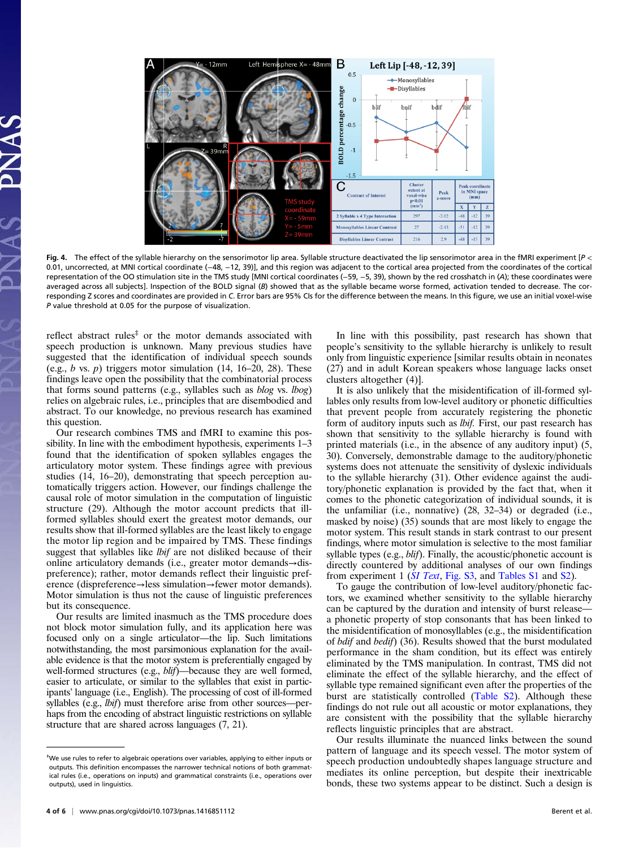

Fig. 4. The effect of the syllable hierarchy on the sensorimotor lip area. Syllable structure deactivated the lip sensorimotor area in the fMRI experiment  $[*P* < 1]$ 0.01, uncorrected, at MNI cortical coordinate (−48, −12, 39)], and this region was adjacent to the cortical area projected from the coordinates of the cortical representation of the OO stimulation site in the TMS study [MNI cortical coordinates (-59, -5, 39), shown by the red crosshatch in (A); these coordinates were averaged across all subjects]. Inspection of the BOLD signal (B) showed that as the syllable became worse formed, activation tended to decrease. The corresponding Z scores and coordinates are provided in C. Error bars are 95% CIs for the difference between the means. In this figure, we use an initial voxel-wise P value threshold at 0.05 for the purpose of visualization.

reflect abstract rules<sup> $\ddot{z}$ </sup> or the motor demands associated with speech production is unknown. Many previous studies have suggested that the identification of individual speech sounds (e.g.,  $b$  vs.  $p$ ) triggers motor simulation (14, 16–20, 28). These findings leave open the possibility that the combinatorial process that forms sound patterns (e.g., syllables such as blog vs. lbog) relies on algebraic rules, i.e., principles that are disembodied and abstract. To our knowledge, no previous research has examined this question.

Our research combines TMS and fMRI to examine this possibility. In line with the embodiment hypothesis, experiments 1–3 found that the identification of spoken syllables engages the articulatory motor system. These findings agree with previous studies (14, 16–20), demonstrating that speech perception automatically triggers action. However, our findings challenge the causal role of motor simulation in the computation of linguistic structure (29). Although the motor account predicts that illformed syllables should exert the greatest motor demands, our results show that ill-formed syllables are the least likely to engage the motor lip region and be impaired by TMS. These findings suggest that syllables like lbif are not disliked because of their online articulatory demands (i.e., greater motor demands→dispreference); rather, motor demands reflect their linguistic preference (dispreference→less simulation→fewer motor demands). Motor simulation is thus not the cause of linguistic preferences but its consequence.

Our results are limited inasmuch as the TMS procedure does not block motor simulation fully, and its application here was focused only on a single articulator—the lip. Such limitations notwithstanding, the most parsimonious explanation for the available evidence is that the motor system is preferentially engaged by well-formed structures (e.g., blif)—because they are well formed, easier to articulate, or similar to the syllables that exist in participants' language (i.e., English). The processing of cost of ill-formed syllables (e.g., *lbif*) must therefore arise from other sources—perhaps from the encoding of abstract linguistic restrictions on syllable structure that are shared across languages (7, 21).

In line with this possibility, past research has shown that people's sensitivity to the syllable hierarchy is unlikely to result only from linguistic experience [similar results obtain in neonates (27) and in adult Korean speakers whose language lacks onset clusters altogether (4)].

It is also unlikely that the misidentification of ill-formed syllables only results from low-level auditory or phonetic difficulties that prevent people from accurately registering the phonetic form of auditory inputs such as lbif. First, our past research has shown that sensitivity to the syllable hierarchy is found with printed materials (i.e., in the absence of any auditory input) (5, 30). Conversely, demonstrable damage to the auditory/phonetic systems does not attenuate the sensitivity of dyslexic individuals to the syllable hierarchy (31). Other evidence against the auditory/phonetic explanation is provided by the fact that, when it comes to the phonetic categorization of individual sounds, it is the unfamiliar (i.e., nonnative) (28, 32–34) or degraded (i.e., masked by noise) (35) sounds that are most likely to engage the motor system. This result stands in stark contrast to our present findings, where motor simulation is selective to the most familiar syllable types (e.g., *blif*). Finally, the acoustic/phonetic account is directly countered by additional analyses of our own findings from experiment 1 ([SI Text](http://www.pnas.org/lookup/suppl/doi:10.1073/pnas.1416851112/-/DCSupplemental/pnas.201416851SI.pdf?targetid=nameddest=STXT), [Fig. S3,](http://www.pnas.org/lookup/suppl/doi:10.1073/pnas.1416851112/-/DCSupplemental/pnas.201416851SI.pdf?targetid=nameddest=SF3) and [Tables S1](http://www.pnas.org/lookup/suppl/doi:10.1073/pnas.1416851112/-/DCSupplemental/pnas.201416851SI.pdf?targetid=nameddest=ST1) and [S2\)](http://www.pnas.org/lookup/suppl/doi:10.1073/pnas.1416851112/-/DCSupplemental/pnas.201416851SI.pdf?targetid=nameddest=ST2).

To gauge the contribution of low-level auditory/phonetic factors, we examined whether sensitivity to the syllable hierarchy can be captured by the duration and intensity of burst release a phonetic property of stop consonants that has been linked to the misidentification of monosyllables (e.g., the misidentification of bdif and bedif) (36). Results showed that the burst modulated performance in the sham condition, but its effect was entirely eliminated by the TMS manipulation. In contrast, TMS did not eliminate the effect of the syllable hierarchy, and the effect of syllable type remained significant even after the properties of the burst are statistically controlled ([Table S2](http://www.pnas.org/lookup/suppl/doi:10.1073/pnas.1416851112/-/DCSupplemental/pnas.201416851SI.pdf?targetid=nameddest=ST2)). Although these findings do not rule out all acoustic or motor explanations, they are consistent with the possibility that the syllable hierarchy reflects linguistic principles that are abstract.

Our results illuminate the nuanced links between the sound pattern of language and its speech vessel. The motor system of speech production undoubtedly shapes language structure and mediates its online perception, but despite their inextricable bonds, these two systems appear to be distinct. Such a design is

<sup>‡</sup> We use rules to refer to algebraic operations over variables, applying to either inputs or outputs. This definition encompasses the narrower technical notions of both grammatical rules (i.e., operations on inputs) and grammatical constraints (i.e., operations over outputs), used in linguistics.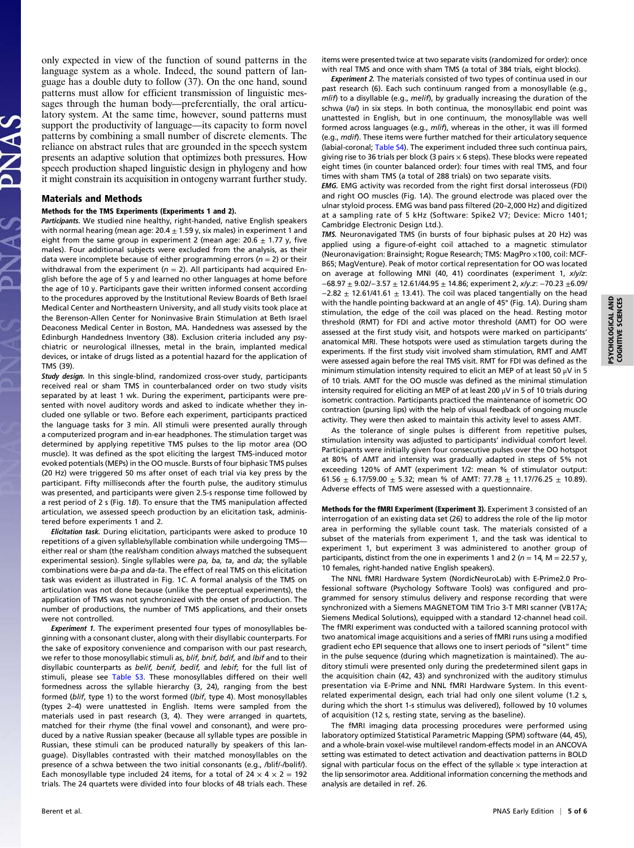only expected in view of the function of sound patterns in the language system as a whole. Indeed, the sound pattern of language has a double duty to follow (37). On the one hand, sound patterns must allow for efficient transmission of linguistic messages through the human body—preferentially, the oral articulatory system. At the same time, however, sound patterns must support the productivity of language—its capacity to form novel patterns by combining a small number of discrete elements. The reliance on abstract rules that are grounded in the speech system presents an adaptive solution that optimizes both pressures. How speech production shaped linguistic design in phylogeny and how it might constrain its acquisition in ontogeny warrant further study.

## Materials and Methods

### Methods for the TMS Experiments (Experiments 1 and 2).

Participants. We studied nine healthy, right-handed, native English speakers with normal hearing (mean age:  $20.4 \pm 1.59$  y, six males) in experiment 1 and eight from the same group in experiment 2 (mean age:  $20.6 \pm 1.77$  y, five males). Four additional subjects were excluded from the analysis, as their data were incomplete because of either programming errors ( $n = 2$ ) or their withdrawal from the experiment ( $n = 2$ ). All participants had acquired English before the age of 5 y and learned no other languages at home before the age of 10 y. Participants gave their written informed consent according to the procedures approved by the Institutional Review Boards of Beth Israel Medical Center and Northeastern University, and all study visits took place at the Berenson-Allen Center for Noninvasive Brain Stimulation at Beth Israel Deaconess Medical Center in Boston, MA. Handedness was assessed by the Edinburgh Handedness Inventory (38). Exclusion criteria included any psychiatric or neurological illnesses, metal in the brain, implanted medical devices, or intake of drugs listed as a potential hazard for the application of TMS (39).

Study design. In this single-blind, randomized cross-over study, participants received real or sham TMS in counterbalanced order on two study visits separated by at least 1 wk. During the experiment, participants were presented with novel auditory words and asked to indicate whether they included one syllable or two. Before each experiment, participants practiced the language tasks for 3 min. All stimuli were presented aurally through a computerized program and in-ear headphones. The stimulation target was determined by applying repetitive TMS pulses to the lip motor area (OO muscle). It was defined as the spot eliciting the largest TMS-induced motor evoked potentials (MEPs) in the OO muscle. Bursts of four biphasic TMS pulses (20 Hz) were triggered 50 ms after onset of each trial via key press by the participant. Fifty milliseconds after the fourth pulse, the auditory stimulus was presented, and participants were given 2.5-s response time followed by a rest period of 2 s (Fig. 1B). To ensure that the TMS manipulation affected articulation, we assessed speech production by an elicitation task, administered before experiments 1 and 2.

Elicitation task. During elicitation, participants were asked to produce 10 repetitions of a given syllable/syllable combination while undergoing TMS either real or sham (the real/sham condition always matched the subsequent experimental session). Single syllables were pa, ba, ta, and da; the syllable combinations were ba-pa and da-ta. The effect of real TMS on this elicitation task was evident as illustrated in Fig. 1C. A formal analysis of the TMS on articulation was not done because (unlike the perceptual experiments), the application of TMS was not synchronized with the onset of production. The number of productions, the number of TMS applications, and their onsets were not controlled.

Experiment 1. The experiment presented four types of monosyllables beginning with a consonant cluster, along with their disyllabic counterparts. For the sake of expository convenience and comparison with our past research, we refer to those monosyllabic stimuli as, blif, bnif, bdif, and lbif and to their disyllabic counterparts as belif, benif, bedif, and lebif; for the full list of stimuli, please see [Table S3](http://www.pnas.org/lookup/suppl/doi:10.1073/pnas.1416851112/-/DCSupplemental/pnas.201416851SI.pdf?targetid=nameddest=ST3). These monosyllables differed on their well formedness across the syllable hierarchy (3, 24), ranging from the best formed (blif, type 1) to the worst formed (lbif, type 4). Most monosyllables (types 2–4) were unattested in English. Items were sampled from the materials used in past research (3, 4). They were arranged in quartets, matched for their rhyme (the final vowel and consonant), and were produced by a native Russian speaker (because all syllable types are possible in Russian, these stimuli can be produced naturally by speakers of this language). Disyllables contrasted with their matched monosyllables on the presence of a schwa between the two initial consonants (e.g., /blif/-/bəlif/). Each monosyllable type included 24 items, for a total of  $24 \times 4 \times 2 = 192$ trials. The 24 quartets were divided into four blocks of 48 trials each. These

items were presented twice at two separate visits (randomized for order): once with real TMS and once with sham TMS (a total of 384 trials, eight blocks).

Experiment 2. The materials consisted of two types of continua used in our past research (6). Each such continuum ranged from a monosyllable (e.g., mlif) to a disyllable (e.g., melif), by gradually increasing the duration of the schwa (/ə/) in six steps. In both continua, the monosyllabic end point was unattested in English, but in one continuum, the monosyllable was well formed across languages (e.g., mlif), whereas in the other, it was ill formed (e.g., mdif). These items were further matched for their articulatory sequence (labial-coronal; [Table S4\)](http://www.pnas.org/lookup/suppl/doi:10.1073/pnas.1416851112/-/DCSupplemental/pnas.201416851SI.pdf?targetid=nameddest=ST4). The experiment included three such continua pairs, giving rise to 36 trials per block (3 pairs  $\times$  6 steps). These blocks were repeated eight times (in counter balanced order): four times with real TMS, and four times with sham TMS (a total of 288 trials) on two separate visits.

EMG. EMG activity was recorded from the right first dorsal interosseus (FDI) and right OO muscles (Fig. 1A). The ground electrode was placed over the ulnar styloid process. EMG was band pass filtered (20–2,000 Hz) and digitized at a sampling rate of 5 kHz (Software: Spike2 V7; Device: Micro 1401; Cambridge Electronic Design Ltd.).

TMS. Neuronavigated TMS (in bursts of four biphasic pulses at 20 Hz) was applied using a figure-of-eight coil attached to a magnetic stimulator (Neuronavigation: Brainsight; Rogue Research; TMS: MagPro ×100, coil: MCF-B65; MagVenture). Peak of motor cortical representation for OO was located on average at following MNI (40, 41) coordinates (experiment 1, x/y/z: −68.97 ± 9.02/−3.57 ± 12.61/44.95 ± 14.86; experiment 2, x/y.z: −70.23 ±6.09/  $-2.82 \pm 12.61/41.61 \pm 13.41$ ). The coil was placed tangentially on the head with the handle pointing backward at an angle of 45° (Fig. 1A). During sham stimulation, the edge of the coil was placed on the head. Resting motor threshold (RMT) for FDI and active motor threshold (AMT) for OO were assessed at the first study visit, and hotspots were marked on participants' anatomical MRI. These hotspots were used as stimulation targets during the experiments. If the first study visit involved sham stimulation, RMT and AMT were assessed again before the real TMS visit. RMT for FDI was defined as the minimum stimulation intensity required to elicit an MEP of at least 50 μV in 5 of 10 trials. AMT for the OO muscle was defined as the minimal stimulation intensity required for eliciting an MEP of at least 200 μV in 5 of 10 trials during isometric contraction. Participants practiced the maintenance of isometric OO contraction (pursing lips) with the help of visual feedback of ongoing muscle activity. They were then asked to maintain this activity level to assess AMT.

As the tolerance of single pulses is different from repetitive pulses, stimulation intensity was adjusted to participants' individual comfort level. Participants were initially given four consecutive pulses over the OO hotspot at 80% of AMT and intensity was gradually adapted in steps of 5% not exceeding 120% of AMT (experiment 1/2: mean % of stimulator output: 61.56  $\pm$  6.17/59.00  $\pm$  5.32; mean % of AMT: 77.78  $\pm$  11.17/76.25  $\pm$  10.89). Adverse effects of TMS were assessed with a questionnaire.

Methods for the fMRI Experiment (Experiment 3). Experiment 3 consisted of an interrogation of an existing data set (26) to address the role of the lip motor area in performing the syllable count task. The materials consisted of a subset of the materials from experiment 1, and the task was identical to experiment 1, but experiment 3 was administered to another group of participants, distinct from the one in experiments 1 and 2 ( $n = 14$ , M = 22.57 y, 10 females, right-handed native English speakers).

The NNL fMRI Hardware System (NordicNeuroLab) with E-Prime2.0 Professional software (Psychology Software Tools) was configured and programmed for sensory stimulus delivery and response recording that were synchronized with a Siemens MAGNETOM TIM Trio 3-T MRI scanner (VB17A; Siemens Medical Solutions), equipped with a standard 12-channel head coil. The fMRI experiment was conducted with a tailored scanning protocol with two anatomical image acquisitions and a series of fMRI runs using a modified gradient echo EPI sequence that allows one to insert periods of "silent" time in the pulse sequence (during which magnetization is maintained). The auditory stimuli were presented only during the predetermined silent gaps in the acquisition chain (42, 43) and synchronized with the auditory stimulus presentation via E-Prime and NNL fMRI Hardware System. In this eventrelated experimental design, each trial had only one silent volume (1.2 s, during which the short 1-s stimulus was delivered), followed by 10 volumes of acquisition (12 s, resting state, serving as the baseline).

The fMRI imaging data processing procedures were performed using laboratory optimized Statistical Parametric Mapping (SPM) software (44, 45), and a whole-brain voxel-wise multilevel random-effects model in an ANCOVA setting was estimated to detect activation and deactivation patterns in BOLD signal with particular focus on the effect of the syllable  $\times$  type interaction at the lip sensorimotor area. Additional information concerning the methods and analysis are detailed in ref. 26.